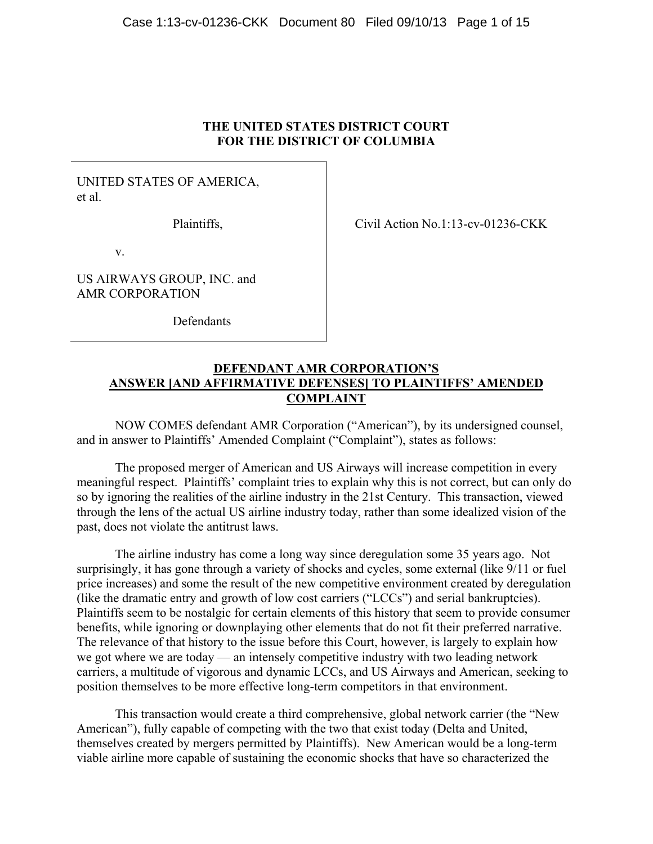#### **THE UNITED STATES DISTRICT COURT FOR THE DISTRICT OF COLUMBIA**

UNITED STATES OF AMERICA, et al.

Plaintiffs,

v.

US AIRWAYS GROUP, INC. and AMR CORPORATION

**Defendants** 

Civil Action No.1:13-cv-01236-CKK

#### **DEFENDANT AMR CORPORATION'S ANSWER [AND AFFIRMATIVE DEFENSES] TO PLAINTIFFS' AMENDED COMPLAINT**

NOW COMES defendant AMR Corporation ("American"), by its undersigned counsel, and in answer to Plaintiffs' Amended Complaint ("Complaint"), states as follows:

The proposed merger of American and US Airways will increase competition in every meaningful respect. Plaintiffs' complaint tries to explain why this is not correct, but can only do so by ignoring the realities of the airline industry in the 21st Century. This transaction, viewed through the lens of the actual US airline industry today, rather than some idealized vision of the past, does not violate the antitrust laws.

The airline industry has come a long way since deregulation some 35 years ago. Not surprisingly, it has gone through a variety of shocks and cycles, some external (like 9/11 or fuel price increases) and some the result of the new competitive environment created by deregulation (like the dramatic entry and growth of low cost carriers ("LCCs") and serial bankruptcies). Plaintiffs seem to be nostalgic for certain elements of this history that seem to provide consumer benefits, while ignoring or downplaying other elements that do not fit their preferred narrative. The relevance of that history to the issue before this Court, however, is largely to explain how we got where we are today — an intensely competitive industry with two leading network carriers, a multitude of vigorous and dynamic LCCs, and US Airways and American, seeking to position themselves to be more effective long-term competitors in that environment.

This transaction would create a third comprehensive, global network carrier (the "New American"), fully capable of competing with the two that exist today (Delta and United, themselves created by mergers permitted by Plaintiffs). New American would be a long-term viable airline more capable of sustaining the economic shocks that have so characterized the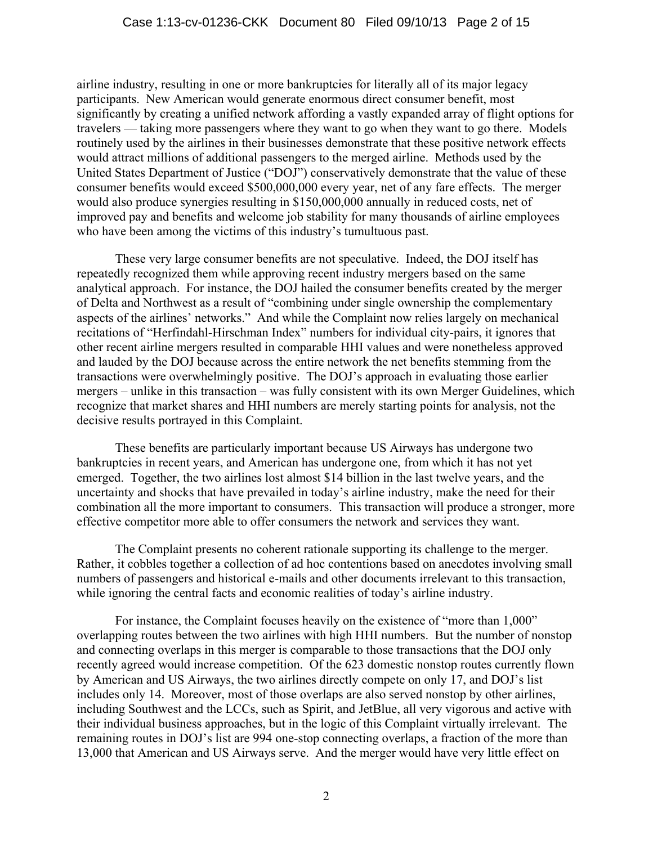airline industry, resulting in one or more bankruptcies for literally all of its major legacy participants. New American would generate enormous direct consumer benefit, most significantly by creating a unified network affording a vastly expanded array of flight options for travelers — taking more passengers where they want to go when they want to go there. Models routinely used by the airlines in their businesses demonstrate that these positive network effects would attract millions of additional passengers to the merged airline. Methods used by the United States Department of Justice ("DOJ") conservatively demonstrate that the value of these consumer benefits would exceed \$500,000,000 every year, net of any fare effects. The merger would also produce synergies resulting in \$150,000,000 annually in reduced costs, net of improved pay and benefits and welcome job stability for many thousands of airline employees who have been among the victims of this industry's tumultuous past.

These very large consumer benefits are not speculative. Indeed, the DOJ itself has repeatedly recognized them while approving recent industry mergers based on the same analytical approach. For instance, the DOJ hailed the consumer benefits created by the merger of Delta and Northwest as a result of "combining under single ownership the complementary aspects of the airlines' networks." And while the Complaint now relies largely on mechanical recitations of "Herfindahl-Hirschman Index" numbers for individual city-pairs, it ignores that other recent airline mergers resulted in comparable HHI values and were nonetheless approved and lauded by the DOJ because across the entire network the net benefits stemming from the transactions were overwhelmingly positive. The DOJ's approach in evaluating those earlier mergers – unlike in this transaction – was fully consistent with its own Merger Guidelines, which recognize that market shares and HHI numbers are merely starting points for analysis, not the decisive results portrayed in this Complaint.

These benefits are particularly important because US Airways has undergone two bankruptcies in recent years, and American has undergone one, from which it has not yet emerged. Together, the two airlines lost almost \$14 billion in the last twelve years, and the uncertainty and shocks that have prevailed in today's airline industry, make the need for their combination all the more important to consumers. This transaction will produce a stronger, more effective competitor more able to offer consumers the network and services they want.

The Complaint presents no coherent rationale supporting its challenge to the merger. Rather, it cobbles together a collection of ad hoc contentions based on anecdotes involving small numbers of passengers and historical e-mails and other documents irrelevant to this transaction, while ignoring the central facts and economic realities of today's airline industry.

For instance, the Complaint focuses heavily on the existence of "more than 1,000" overlapping routes between the two airlines with high HHI numbers. But the number of nonstop and connecting overlaps in this merger is comparable to those transactions that the DOJ only recently agreed would increase competition. Of the 623 domestic nonstop routes currently flown by American and US Airways, the two airlines directly compete on only 17, and DOJ's list includes only 14. Moreover, most of those overlaps are also served nonstop by other airlines, including Southwest and the LCCs, such as Spirit, and JetBlue, all very vigorous and active with their individual business approaches, but in the logic of this Complaint virtually irrelevant. The remaining routes in DOJ's list are 994 one-stop connecting overlaps, a fraction of the more than 13,000 that American and US Airways serve. And the merger would have very little effect on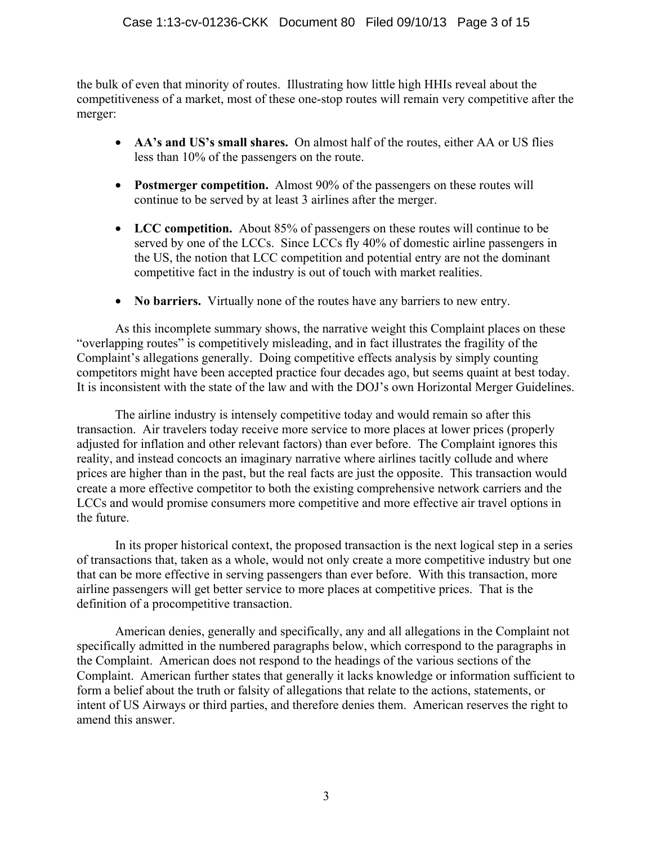the bulk of even that minority of routes. Illustrating how little high HHIs reveal about the competitiveness of a market, most of these one-stop routes will remain very competitive after the merger:

- **AA's and US's small shares.** On almost half of the routes, either AA or US flies less than 10% of the passengers on the route.
- **Postmerger competition.** Almost 90% of the passengers on these routes will continue to be served by at least 3 airlines after the merger.
- LCC competition. About 85% of passengers on these routes will continue to be served by one of the LCCs. Since LCCs fly 40% of domestic airline passengers in the US, the notion that LCC competition and potential entry are not the dominant competitive fact in the industry is out of touch with market realities.
- **No barriers.** Virtually none of the routes have any barriers to new entry.

As this incomplete summary shows, the narrative weight this Complaint places on these "overlapping routes" is competitively misleading, and in fact illustrates the fragility of the Complaint's allegations generally. Doing competitive effects analysis by simply counting competitors might have been accepted practice four decades ago, but seems quaint at best today. It is inconsistent with the state of the law and with the DOJ's own Horizontal Merger Guidelines.

The airline industry is intensely competitive today and would remain so after this transaction. Air travelers today receive more service to more places at lower prices (properly adjusted for inflation and other relevant factors) than ever before. The Complaint ignores this reality, and instead concocts an imaginary narrative where airlines tacitly collude and where prices are higher than in the past, but the real facts are just the opposite. This transaction would create a more effective competitor to both the existing comprehensive network carriers and the LCCs and would promise consumers more competitive and more effective air travel options in the future.

In its proper historical context, the proposed transaction is the next logical step in a series of transactions that, taken as a whole, would not only create a more competitive industry but one that can be more effective in serving passengers than ever before. With this transaction, more airline passengers will get better service to more places at competitive prices. That is the definition of a procompetitive transaction.

American denies, generally and specifically, any and all allegations in the Complaint not specifically admitted in the numbered paragraphs below, which correspond to the paragraphs in the Complaint. American does not respond to the headings of the various sections of the Complaint. American further states that generally it lacks knowledge or information sufficient to form a belief about the truth or falsity of allegations that relate to the actions, statements, or intent of US Airways or third parties, and therefore denies them. American reserves the right to amend this answer.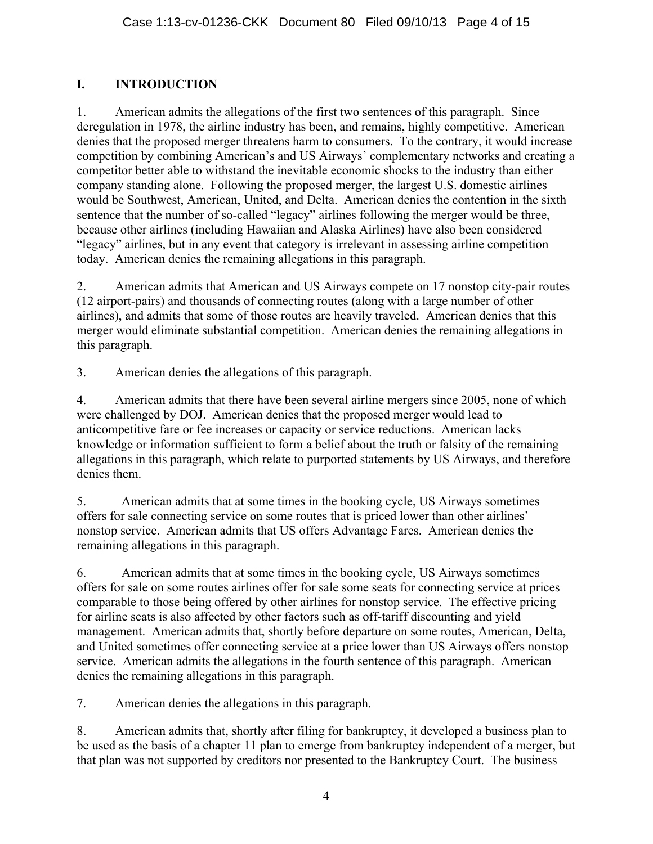## **I. INTRODUCTION**

1. American admits the allegations of the first two sentences of this paragraph. Since deregulation in 1978, the airline industry has been, and remains, highly competitive. American denies that the proposed merger threatens harm to consumers. To the contrary, it would increase competition by combining American's and US Airways' complementary networks and creating a competitor better able to withstand the inevitable economic shocks to the industry than either company standing alone. Following the proposed merger, the largest U.S. domestic airlines would be Southwest, American, United, and Delta. American denies the contention in the sixth sentence that the number of so-called "legacy" airlines following the merger would be three, because other airlines (including Hawaiian and Alaska Airlines) have also been considered "legacy" airlines, but in any event that category is irrelevant in assessing airline competition today. American denies the remaining allegations in this paragraph.

2. American admits that American and US Airways compete on 17 nonstop city-pair routes (12 airport-pairs) and thousands of connecting routes (along with a large number of other airlines), and admits that some of those routes are heavily traveled. American denies that this merger would eliminate substantial competition. American denies the remaining allegations in this paragraph.

3. American denies the allegations of this paragraph.

4. American admits that there have been several airline mergers since 2005, none of which were challenged by DOJ. American denies that the proposed merger would lead to anticompetitive fare or fee increases or capacity or service reductions. American lacks knowledge or information sufficient to form a belief about the truth or falsity of the remaining allegations in this paragraph, which relate to purported statements by US Airways, and therefore denies them.

5. American admits that at some times in the booking cycle, US Airways sometimes offers for sale connecting service on some routes that is priced lower than other airlines' nonstop service. American admits that US offers Advantage Fares. American denies the remaining allegations in this paragraph.

6. American admits that at some times in the booking cycle, US Airways sometimes offers for sale on some routes airlines offer for sale some seats for connecting service at prices comparable to those being offered by other airlines for nonstop service. The effective pricing for airline seats is also affected by other factors such as off-tariff discounting and yield management. American admits that, shortly before departure on some routes, American, Delta, and United sometimes offer connecting service at a price lower than US Airways offers nonstop service. American admits the allegations in the fourth sentence of this paragraph. American denies the remaining allegations in this paragraph.

7. American denies the allegations in this paragraph.

8. American admits that, shortly after filing for bankruptcy, it developed a business plan to be used as the basis of a chapter 11 plan to emerge from bankruptcy independent of a merger, but that plan was not supported by creditors nor presented to the Bankruptcy Court. The business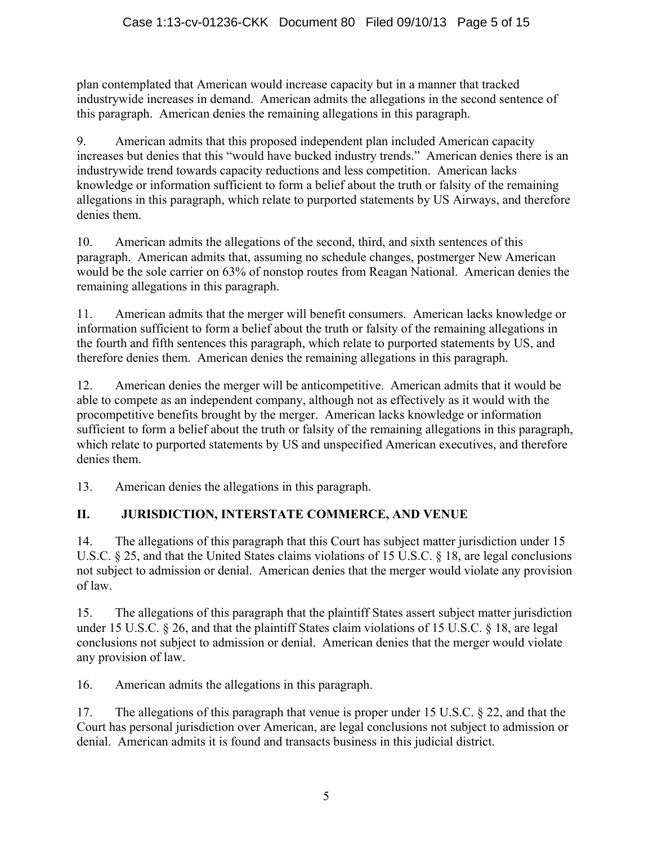plan contemplated that American would increase capacity but in a manner that tracked industrywide increases in demand. American admits the allegations in the second sentence of this paragraph. American denies the remaining allegations in this paragraph.

9. American admits that this proposed independent plan included American capacity increases but denies that this "would have bucked industry trends." American denies there is an industrywide trend towards capacity reductions and less competition. American lacks knowledge or information sufficient to form a belief about the truth or falsity of the remaining allegations in this paragraph, which relate to purported statements by US Airways, and therefore denies them.

10. American admits the allegations of the second, third, and sixth sentences of this paragraph. American admits that, assuming no schedule changes, postmerger New American would be the sole carrier on 63% of nonstop routes from Reagan National. American denies the remaining allegations in this paragraph.

11. American admits that the merger will benefit consumers. American lacks knowledge or information sufficient to form a belief about the truth or falsity of the remaining allegations in the fourth and fifth sentences this paragraph, which relate to purported statements by US, and therefore denies them. American denies the remaining allegations in this paragraph.

12. American denies the merger will be anticompetitive. American admits that it would be able to compete as an independent company, although not as effectively as it would with the procompetitive benefits brought by the merger. American lacks knowledge or information sufficient to form a belief about the truth or falsity of the remaining allegations in this paragraph, which relate to purported statements by US and unspecified American executives, and therefore denies them.

13. American denies the allegations in this paragraph.

# **II. JURISDICTION, INTERSTATE COMMERCE, AND VENUE**

14. The allegations of this paragraph that this Court has subject matter jurisdiction under 15 U.S.C. § 25, and that the United States claims violations of 15 U.S.C. § 18, are legal conclusions not subject to admission or denial. American denies that the merger would violate any provision of law.

15. The allegations of this paragraph that the plaintiff States assert subject matter jurisdiction under 15 U.S.C. § 26, and that the plaintiff States claim violations of 15 U.S.C. § 18, are legal conclusions not subject to admission or denial. American denies that the merger would violate any provision of law.

16. American admits the allegations in this paragraph.

17. The allegations of this paragraph that venue is proper under 15 U.S.C. § 22, and that the Court has personal jurisdiction over American, are legal conclusions not subject to admission or denial. American admits it is found and transacts business in this judicial district.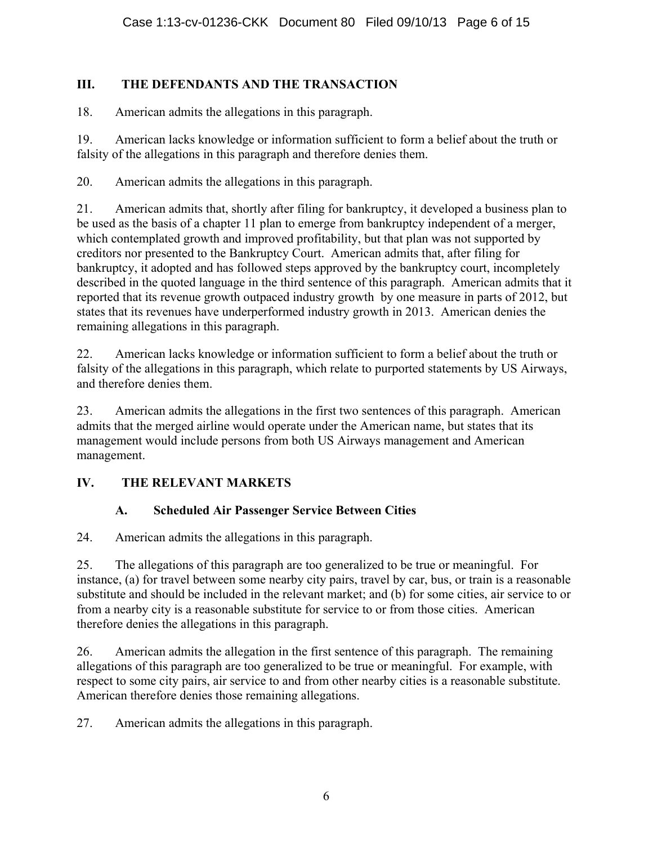## **III. THE DEFENDANTS AND THE TRANSACTION**

18. American admits the allegations in this paragraph.

19. American lacks knowledge or information sufficient to form a belief about the truth or falsity of the allegations in this paragraph and therefore denies them.

20. American admits the allegations in this paragraph.

21. American admits that, shortly after filing for bankruptcy, it developed a business plan to be used as the basis of a chapter 11 plan to emerge from bankruptcy independent of a merger, which contemplated growth and improved profitability, but that plan was not supported by creditors nor presented to the Bankruptcy Court. American admits that, after filing for bankruptcy, it adopted and has followed steps approved by the bankruptcy court, incompletely described in the quoted language in the third sentence of this paragraph. American admits that it reported that its revenue growth outpaced industry growth by one measure in parts of 2012, but states that its revenues have underperformed industry growth in 2013. American denies the remaining allegations in this paragraph.

22. American lacks knowledge or information sufficient to form a belief about the truth or falsity of the allegations in this paragraph, which relate to purported statements by US Airways, and therefore denies them.

23. American admits the allegations in the first two sentences of this paragraph. American admits that the merged airline would operate under the American name, but states that its management would include persons from both US Airways management and American management.

## **IV. THE RELEVANT MARKETS**

## **A. Scheduled Air Passenger Service Between Cities**

24. American admits the allegations in this paragraph.

25. The allegations of this paragraph are too generalized to be true or meaningful. For instance, (a) for travel between some nearby city pairs, travel by car, bus, or train is a reasonable substitute and should be included in the relevant market; and (b) for some cities, air service to or from a nearby city is a reasonable substitute for service to or from those cities. American therefore denies the allegations in this paragraph.

26. American admits the allegation in the first sentence of this paragraph. The remaining allegations of this paragraph are too generalized to be true or meaningful. For example, with respect to some city pairs, air service to and from other nearby cities is a reasonable substitute. American therefore denies those remaining allegations.

27. American admits the allegations in this paragraph.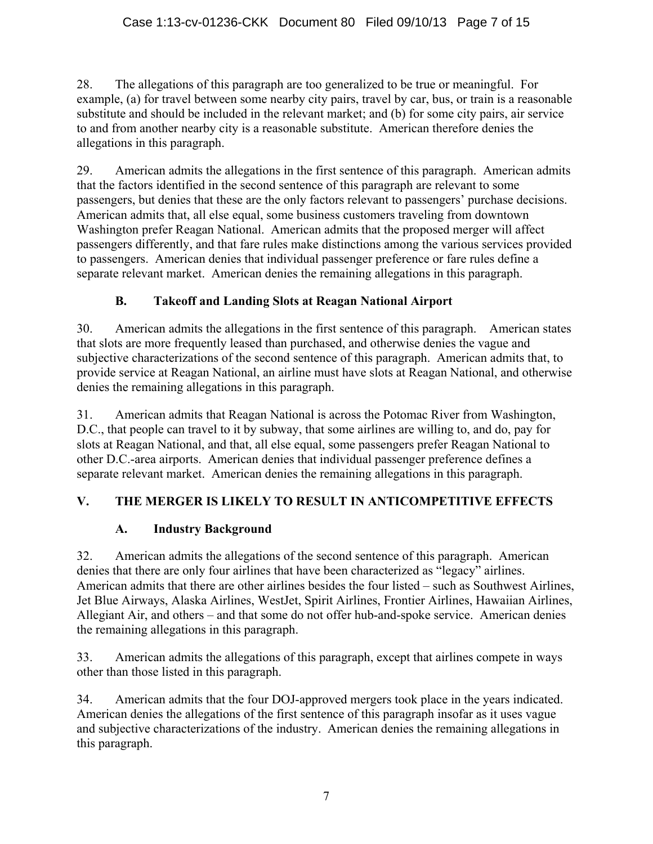28. The allegations of this paragraph are too generalized to be true or meaningful. For example, (a) for travel between some nearby city pairs, travel by car, bus, or train is a reasonable substitute and should be included in the relevant market; and (b) for some city pairs, air service to and from another nearby city is a reasonable substitute. American therefore denies the allegations in this paragraph.

29. American admits the allegations in the first sentence of this paragraph. American admits that the factors identified in the second sentence of this paragraph are relevant to some passengers, but denies that these are the only factors relevant to passengers' purchase decisions. American admits that, all else equal, some business customers traveling from downtown Washington prefer Reagan National. American admits that the proposed merger will affect passengers differently, and that fare rules make distinctions among the various services provided to passengers. American denies that individual passenger preference or fare rules define a separate relevant market. American denies the remaining allegations in this paragraph.

## **B. Takeoff and Landing Slots at Reagan National Airport**

30. American admits the allegations in the first sentence of this paragraph. American states that slots are more frequently leased than purchased, and otherwise denies the vague and subjective characterizations of the second sentence of this paragraph. American admits that, to provide service at Reagan National, an airline must have slots at Reagan National, and otherwise denies the remaining allegations in this paragraph.

31. American admits that Reagan National is across the Potomac River from Washington, D.C., that people can travel to it by subway, that some airlines are willing to, and do, pay for slots at Reagan National, and that, all else equal, some passengers prefer Reagan National to other D.C.-area airports. American denies that individual passenger preference defines a separate relevant market. American denies the remaining allegations in this paragraph.

# **V. THE MERGER IS LIKELY TO RESULT IN ANTICOMPETITIVE EFFECTS**

## **A. Industry Background**

32. American admits the allegations of the second sentence of this paragraph. American denies that there are only four airlines that have been characterized as "legacy" airlines. American admits that there are other airlines besides the four listed – such as Southwest Airlines, Jet Blue Airways, Alaska Airlines, WestJet, Spirit Airlines, Frontier Airlines, Hawaiian Airlines, Allegiant Air, and others – and that some do not offer hub-and-spoke service. American denies the remaining allegations in this paragraph.

33. American admits the allegations of this paragraph, except that airlines compete in ways other than those listed in this paragraph.

34. American admits that the four DOJ-approved mergers took place in the years indicated. American denies the allegations of the first sentence of this paragraph insofar as it uses vague and subjective characterizations of the industry. American denies the remaining allegations in this paragraph.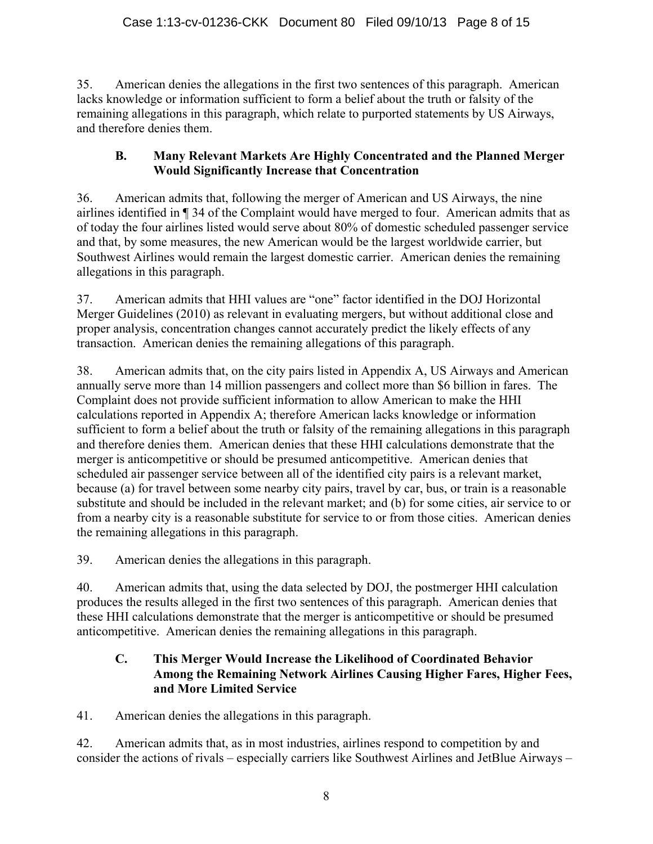35. American denies the allegations in the first two sentences of this paragraph. American lacks knowledge or information sufficient to form a belief about the truth or falsity of the remaining allegations in this paragraph, which relate to purported statements by US Airways, and therefore denies them.

### **B. Many Relevant Markets Are Highly Concentrated and the Planned Merger Would Significantly Increase that Concentration**

36. American admits that, following the merger of American and US Airways, the nine airlines identified in ¶ 34 of the Complaint would have merged to four. American admits that as of today the four airlines listed would serve about 80% of domestic scheduled passenger service and that, by some measures, the new American would be the largest worldwide carrier, but Southwest Airlines would remain the largest domestic carrier. American denies the remaining allegations in this paragraph.

37. American admits that HHI values are "one" factor identified in the DOJ Horizontal Merger Guidelines (2010) as relevant in evaluating mergers, but without additional close and proper analysis, concentration changes cannot accurately predict the likely effects of any transaction. American denies the remaining allegations of this paragraph.

38. American admits that, on the city pairs listed in Appendix A, US Airways and American annually serve more than 14 million passengers and collect more than \$6 billion in fares. The Complaint does not provide sufficient information to allow American to make the HHI calculations reported in Appendix A; therefore American lacks knowledge or information sufficient to form a belief about the truth or falsity of the remaining allegations in this paragraph and therefore denies them. American denies that these HHI calculations demonstrate that the merger is anticompetitive or should be presumed anticompetitive. American denies that scheduled air passenger service between all of the identified city pairs is a relevant market, because (a) for travel between some nearby city pairs, travel by car, bus, or train is a reasonable substitute and should be included in the relevant market; and (b) for some cities, air service to or from a nearby city is a reasonable substitute for service to or from those cities. American denies the remaining allegations in this paragraph.

39. American denies the allegations in this paragraph.

40. American admits that, using the data selected by DOJ, the postmerger HHI calculation produces the results alleged in the first two sentences of this paragraph. American denies that these HHI calculations demonstrate that the merger is anticompetitive or should be presumed anticompetitive. American denies the remaining allegations in this paragraph.

### **C. This Merger Would Increase the Likelihood of Coordinated Behavior Among the Remaining Network Airlines Causing Higher Fares, Higher Fees, and More Limited Service**

41. American denies the allegations in this paragraph.

42. American admits that, as in most industries, airlines respond to competition by and consider the actions of rivals – especially carriers like Southwest Airlines and JetBlue Airways –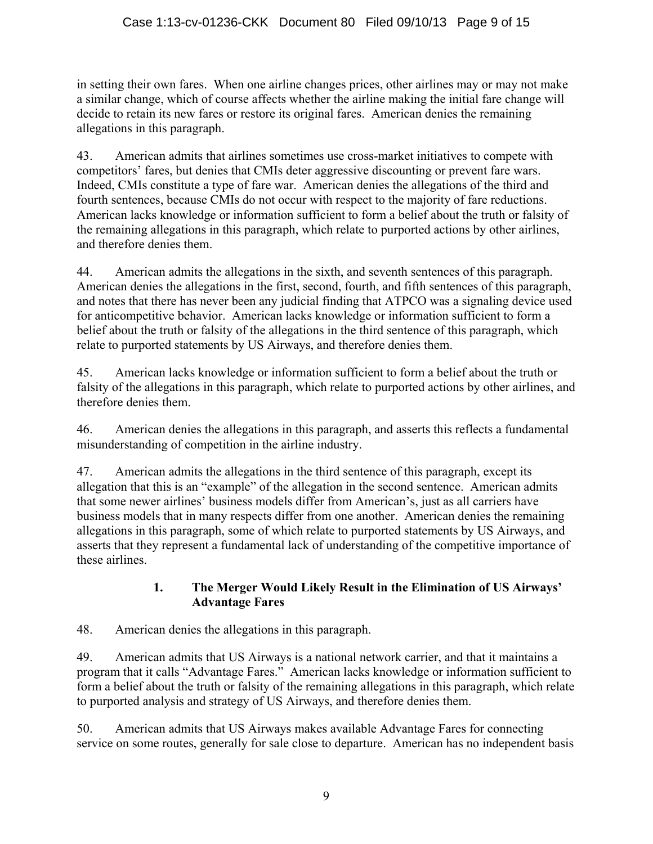in setting their own fares. When one airline changes prices, other airlines may or may not make a similar change, which of course affects whether the airline making the initial fare change will decide to retain its new fares or restore its original fares. American denies the remaining allegations in this paragraph.

43. American admits that airlines sometimes use cross-market initiatives to compete with competitors' fares, but denies that CMIs deter aggressive discounting or prevent fare wars. Indeed, CMIs constitute a type of fare war. American denies the allegations of the third and fourth sentences, because CMIs do not occur with respect to the majority of fare reductions. American lacks knowledge or information sufficient to form a belief about the truth or falsity of the remaining allegations in this paragraph, which relate to purported actions by other airlines, and therefore denies them.

44. American admits the allegations in the sixth, and seventh sentences of this paragraph. American denies the allegations in the first, second, fourth, and fifth sentences of this paragraph, and notes that there has never been any judicial finding that ATPCO was a signaling device used for anticompetitive behavior. American lacks knowledge or information sufficient to form a belief about the truth or falsity of the allegations in the third sentence of this paragraph, which relate to purported statements by US Airways, and therefore denies them.

45. American lacks knowledge or information sufficient to form a belief about the truth or falsity of the allegations in this paragraph, which relate to purported actions by other airlines, and therefore denies them.

46. American denies the allegations in this paragraph, and asserts this reflects a fundamental misunderstanding of competition in the airline industry.

47. American admits the allegations in the third sentence of this paragraph, except its allegation that this is an "example" of the allegation in the second sentence. American admits that some newer airlines' business models differ from American's, just as all carriers have business models that in many respects differ from one another. American denies the remaining allegations in this paragraph, some of which relate to purported statements by US Airways, and asserts that they represent a fundamental lack of understanding of the competitive importance of these airlines.

### **1. The Merger Would Likely Result in the Elimination of US Airways' Advantage Fares**

48. American denies the allegations in this paragraph.

49. American admits that US Airways is a national network carrier, and that it maintains a program that it calls "Advantage Fares." American lacks knowledge or information sufficient to form a belief about the truth or falsity of the remaining allegations in this paragraph, which relate to purported analysis and strategy of US Airways, and therefore denies them.

50. American admits that US Airways makes available Advantage Fares for connecting service on some routes, generally for sale close to departure. American has no independent basis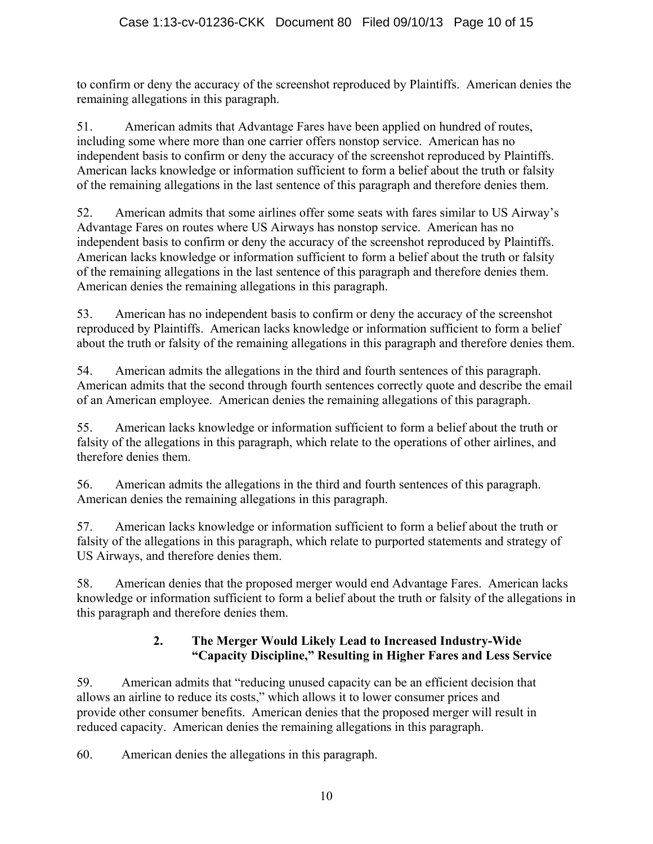to confirm or deny the accuracy of the screenshot reproduced by Plaintiffs. American denies the remaining allegations in this paragraph.

51. American admits that Advantage Fares have been applied on hundred of routes, including some where more than one carrier offers nonstop service. American has no independent basis to confirm or deny the accuracy of the screenshot reproduced by Plaintiffs. American lacks knowledge or information sufficient to form a belief about the truth or falsity of the remaining allegations in the last sentence of this paragraph and therefore denies them.

52. American admits that some airlines offer some seats with fares similar to US Airway's Advantage Fares on routes where US Airways has nonstop service. American has no independent basis to confirm or deny the accuracy of the screenshot reproduced by Plaintiffs. American lacks knowledge or information sufficient to form a belief about the truth or falsity of the remaining allegations in the last sentence of this paragraph and therefore denies them. American denies the remaining allegations in this paragraph.

53. American has no independent basis to confirm or deny the accuracy of the screenshot reproduced by Plaintiffs. American lacks knowledge or information sufficient to form a belief about the truth or falsity of the remaining allegations in this paragraph and therefore denies them.

54. American admits the allegations in the third and fourth sentences of this paragraph. American admits that the second through fourth sentences correctly quote and describe the email of an American employee. American denies the remaining allegations of this paragraph.

55. American lacks knowledge or information sufficient to form a belief about the truth or falsity of the allegations in this paragraph, which relate to the operations of other airlines, and therefore denies them.

56. American admits the allegations in the third and fourth sentences of this paragraph. American denies the remaining allegations in this paragraph.

57. American lacks knowledge or information sufficient to form a belief about the truth or falsity of the allegations in this paragraph, which relate to purported statements and strategy of US Airways, and therefore denies them.

58. American denies that the proposed merger would end Advantage Fares. American lacks knowledge or information sufficient to form a belief about the truth or falsity of the allegations in this paragraph and therefore denies them.

### **2. The Merger Would Likely Lead to Increased Industry-Wide "Capacity Discipline," Resulting in Higher Fares and Less Service**

59. American admits that "reducing unused capacity can be an efficient decision that allows an airline to reduce its costs," which allows it to lower consumer prices and provide other consumer benefits. American denies that the proposed merger will result in reduced capacity. American denies the remaining allegations in this paragraph.

60. American denies the allegations in this paragraph.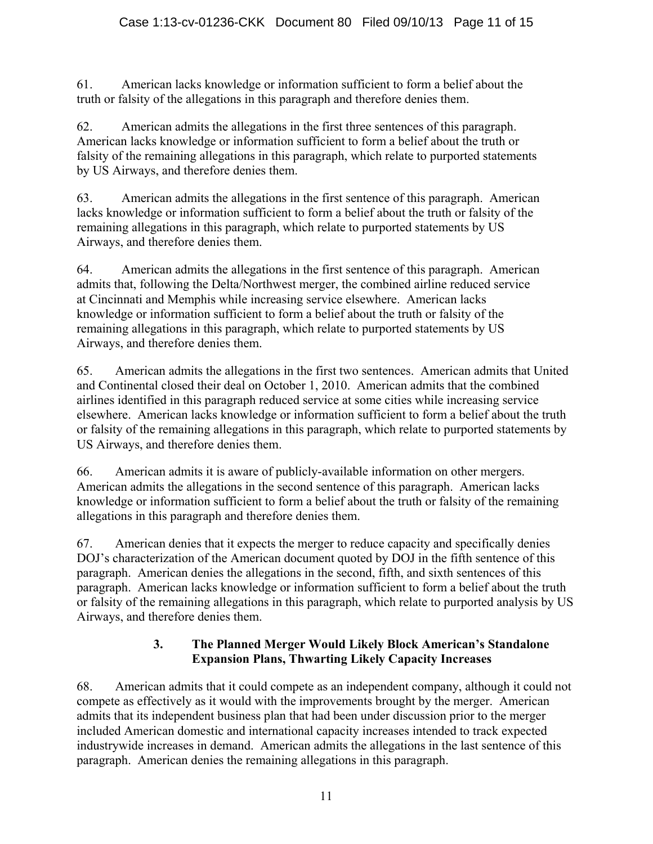61. American lacks knowledge or information sufficient to form a belief about the truth or falsity of the allegations in this paragraph and therefore denies them.

62. American admits the allegations in the first three sentences of this paragraph. American lacks knowledge or information sufficient to form a belief about the truth or falsity of the remaining allegations in this paragraph, which relate to purported statements by US Airways, and therefore denies them.

63. American admits the allegations in the first sentence of this paragraph. American lacks knowledge or information sufficient to form a belief about the truth or falsity of the remaining allegations in this paragraph, which relate to purported statements by US Airways, and therefore denies them.

64. American admits the allegations in the first sentence of this paragraph. American admits that, following the Delta/Northwest merger, the combined airline reduced service at Cincinnati and Memphis while increasing service elsewhere. American lacks knowledge or information sufficient to form a belief about the truth or falsity of the remaining allegations in this paragraph, which relate to purported statements by US Airways, and therefore denies them.

65. American admits the allegations in the first two sentences. American admits that United and Continental closed their deal on October 1, 2010. American admits that the combined airlines identified in this paragraph reduced service at some cities while increasing service elsewhere. American lacks knowledge or information sufficient to form a belief about the truth or falsity of the remaining allegations in this paragraph, which relate to purported statements by US Airways, and therefore denies them.

66. American admits it is aware of publicly-available information on other mergers. American admits the allegations in the second sentence of this paragraph. American lacks knowledge or information sufficient to form a belief about the truth or falsity of the remaining allegations in this paragraph and therefore denies them.

67. American denies that it expects the merger to reduce capacity and specifically denies DOJ's characterization of the American document quoted by DOJ in the fifth sentence of this paragraph. American denies the allegations in the second, fifth, and sixth sentences of this paragraph. American lacks knowledge or information sufficient to form a belief about the truth or falsity of the remaining allegations in this paragraph, which relate to purported analysis by US Airways, and therefore denies them.

### **3. The Planned Merger Would Likely Block American's Standalone Expansion Plans, Thwarting Likely Capacity Increases**

68. American admits that it could compete as an independent company, although it could not compete as effectively as it would with the improvements brought by the merger. American admits that its independent business plan that had been under discussion prior to the merger included American domestic and international capacity increases intended to track expected industrywide increases in demand. American admits the allegations in the last sentence of this paragraph. American denies the remaining allegations in this paragraph.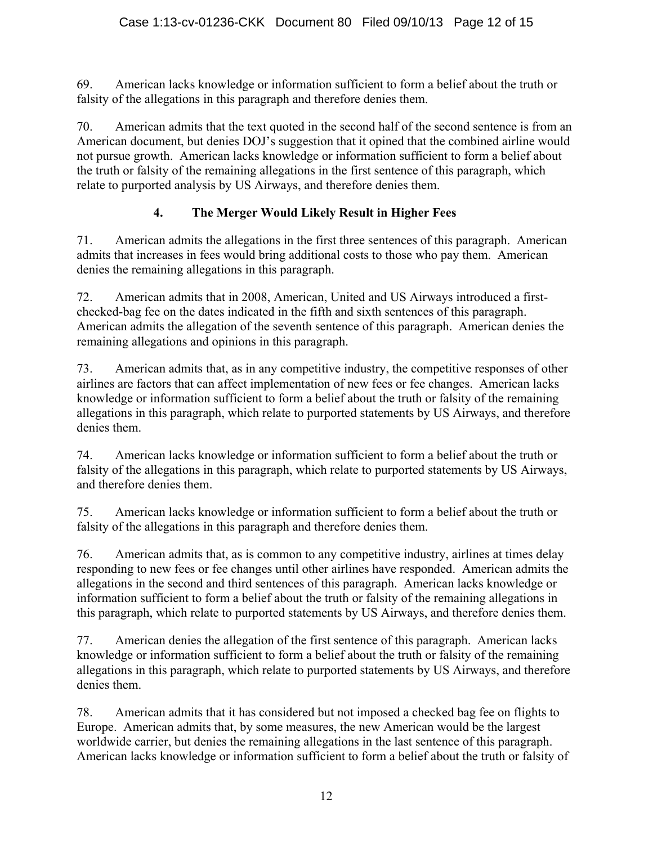69. American lacks knowledge or information sufficient to form a belief about the truth or falsity of the allegations in this paragraph and therefore denies them.

70. American admits that the text quoted in the second half of the second sentence is from an American document, but denies DOJ's suggestion that it opined that the combined airline would not pursue growth. American lacks knowledge or information sufficient to form a belief about the truth or falsity of the remaining allegations in the first sentence of this paragraph, which relate to purported analysis by US Airways, and therefore denies them.

## **4. The Merger Would Likely Result in Higher Fees**

71. American admits the allegations in the first three sentences of this paragraph. American admits that increases in fees would bring additional costs to those who pay them. American denies the remaining allegations in this paragraph.

72. American admits that in 2008, American, United and US Airways introduced a firstchecked-bag fee on the dates indicated in the fifth and sixth sentences of this paragraph. American admits the allegation of the seventh sentence of this paragraph. American denies the remaining allegations and opinions in this paragraph.

73. American admits that, as in any competitive industry, the competitive responses of other airlines are factors that can affect implementation of new fees or fee changes. American lacks knowledge or information sufficient to form a belief about the truth or falsity of the remaining allegations in this paragraph, which relate to purported statements by US Airways, and therefore denies them.

74. American lacks knowledge or information sufficient to form a belief about the truth or falsity of the allegations in this paragraph, which relate to purported statements by US Airways, and therefore denies them.

75. American lacks knowledge or information sufficient to form a belief about the truth or falsity of the allegations in this paragraph and therefore denies them.

76. American admits that, as is common to any competitive industry, airlines at times delay responding to new fees or fee changes until other airlines have responded. American admits the allegations in the second and third sentences of this paragraph. American lacks knowledge or information sufficient to form a belief about the truth or falsity of the remaining allegations in this paragraph, which relate to purported statements by US Airways, and therefore denies them.

77. American denies the allegation of the first sentence of this paragraph. American lacks knowledge or information sufficient to form a belief about the truth or falsity of the remaining allegations in this paragraph, which relate to purported statements by US Airways, and therefore denies them.

78. American admits that it has considered but not imposed a checked bag fee on flights to Europe. American admits that, by some measures, the new American would be the largest worldwide carrier, but denies the remaining allegations in the last sentence of this paragraph. American lacks knowledge or information sufficient to form a belief about the truth or falsity of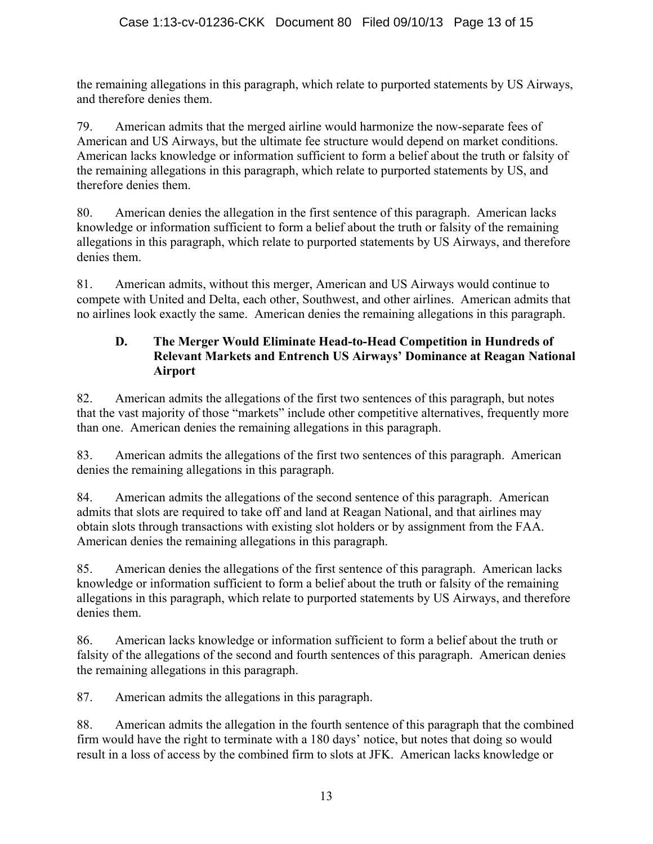the remaining allegations in this paragraph, which relate to purported statements by US Airways, and therefore denies them.

79. American admits that the merged airline would harmonize the now-separate fees of American and US Airways, but the ultimate fee structure would depend on market conditions. American lacks knowledge or information sufficient to form a belief about the truth or falsity of the remaining allegations in this paragraph, which relate to purported statements by US, and therefore denies them.

80. American denies the allegation in the first sentence of this paragraph. American lacks knowledge or information sufficient to form a belief about the truth or falsity of the remaining allegations in this paragraph, which relate to purported statements by US Airways, and therefore denies them.

81. American admits, without this merger, American and US Airways would continue to compete with United and Delta, each other, Southwest, and other airlines. American admits that no airlines look exactly the same. American denies the remaining allegations in this paragraph.

### **D. The Merger Would Eliminate Head-to-Head Competition in Hundreds of Relevant Markets and Entrench US Airways' Dominance at Reagan National Airport**

82. American admits the allegations of the first two sentences of this paragraph, but notes that the vast majority of those "markets" include other competitive alternatives, frequently more than one. American denies the remaining allegations in this paragraph.

83. American admits the allegations of the first two sentences of this paragraph. American denies the remaining allegations in this paragraph.

84. American admits the allegations of the second sentence of this paragraph. American admits that slots are required to take off and land at Reagan National, and that airlines may obtain slots through transactions with existing slot holders or by assignment from the FAA. American denies the remaining allegations in this paragraph.

85. American denies the allegations of the first sentence of this paragraph. American lacks knowledge or information sufficient to form a belief about the truth or falsity of the remaining allegations in this paragraph, which relate to purported statements by US Airways, and therefore denies them.

86. American lacks knowledge or information sufficient to form a belief about the truth or falsity of the allegations of the second and fourth sentences of this paragraph. American denies the remaining allegations in this paragraph.

87. American admits the allegations in this paragraph.

88. American admits the allegation in the fourth sentence of this paragraph that the combined firm would have the right to terminate with a 180 days' notice, but notes that doing so would result in a loss of access by the combined firm to slots at JFK. American lacks knowledge or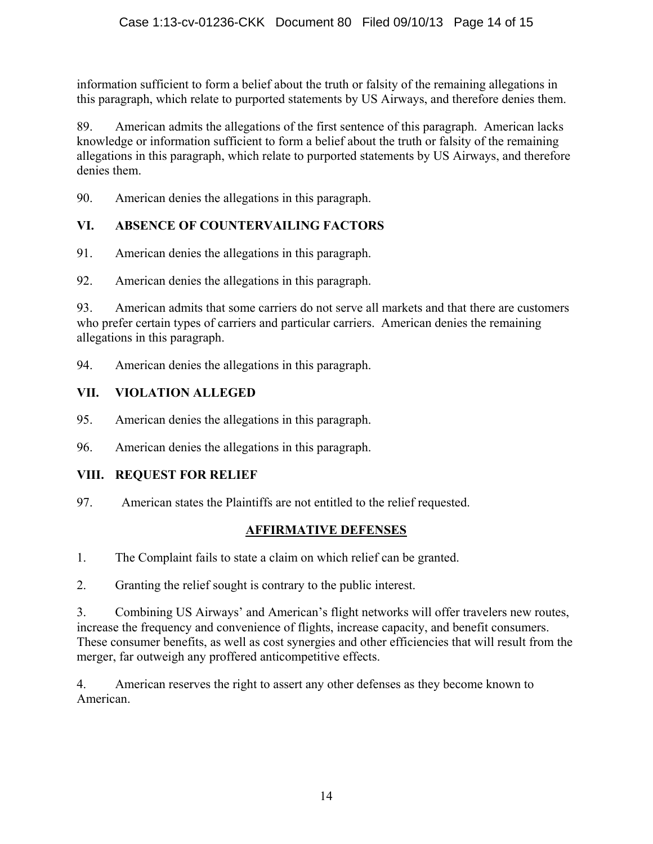information sufficient to form a belief about the truth or falsity of the remaining allegations in this paragraph, which relate to purported statements by US Airways, and therefore denies them.

89. American admits the allegations of the first sentence of this paragraph. American lacks knowledge or information sufficient to form a belief about the truth or falsity of the remaining allegations in this paragraph, which relate to purported statements by US Airways, and therefore denies them.

90. American denies the allegations in this paragraph.

# **VI. ABSENCE OF COUNTERVAILING FACTORS**

91. American denies the allegations in this paragraph.

92. American denies the allegations in this paragraph.

93. American admits that some carriers do not serve all markets and that there are customers who prefer certain types of carriers and particular carriers. American denies the remaining allegations in this paragraph.

94. American denies the allegations in this paragraph.

# **VII. VIOLATION ALLEGED**

- 95. American denies the allegations in this paragraph.
- 96. American denies the allegations in this paragraph.

## **VIII. REQUEST FOR RELIEF**

97. American states the Plaintiffs are not entitled to the relief requested.

# **AFFIRMATIVE DEFENSES**

- 1. The Complaint fails to state a claim on which relief can be granted.
- 2. Granting the relief sought is contrary to the public interest.

3. Combining US Airways' and American's flight networks will offer travelers new routes, increase the frequency and convenience of flights, increase capacity, and benefit consumers. These consumer benefits, as well as cost synergies and other efficiencies that will result from the merger, far outweigh any proffered anticompetitive effects.

4. American reserves the right to assert any other defenses as they become known to American.